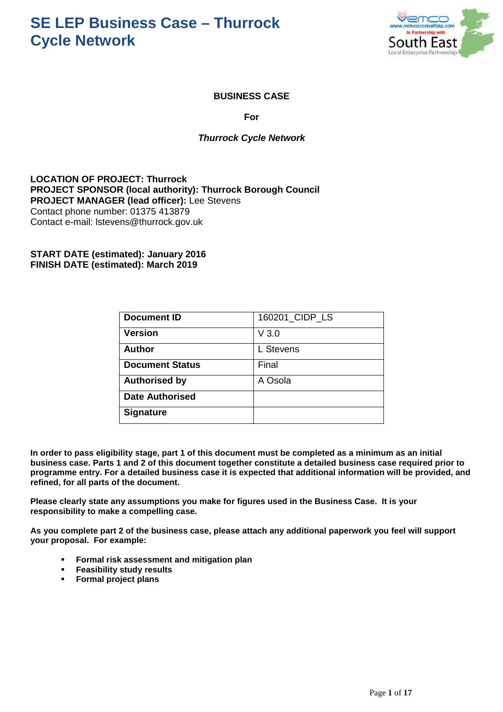

#### **BUSINESS CASE**

**For** 

#### **Thurrock Cycle Network**

**LOCATION OF PROJECT: Thurrock PROJECT SPONSOR (local authority): Thurrock Borough Council PROJECT MANAGER (lead officer):** Lee Stevens Contact phone number: 01375 413879 Contact e-mail: lstevens@thurrock.gov.uk

**START DATE (estimated): January 2016 FINISH DATE (estimated): March 2019** 

| <b>Document ID</b>     | 160201_CIDP_LS |
|------------------------|----------------|
| <b>Version</b>         | V3.0           |
| <b>Author</b>          | L Stevens      |
| <b>Document Status</b> | Final          |
| <b>Authorised by</b>   | A Osola        |
| <b>Date Authorised</b> |                |
| <b>Signature</b>       |                |

**In order to pass eligibility stage, part 1 of this document must be completed as a minimum as an initial business case. Parts 1 and 2 of this document together constitute a detailed business case required prior to programme entry. For a detailed business case it is expected that additional information will be provided, and refined, for all parts of the document.** 

**Please clearly state any assumptions you make for figures used in the Business Case. It is your responsibility to make a compelling case.** 

**As you complete part 2 of the business case, please attach any additional paperwork you feel will support your proposal. For example:** 

- **Formal risk assessment and mitigation plan**
- **Feasibility study results**
- **Formal project plans**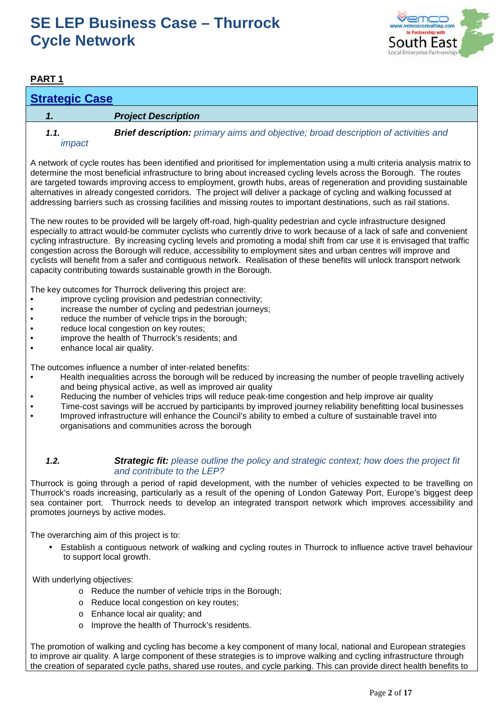

### **PART 1**

### **Strategic Case**

#### **1. Project Description**

impact

**1.1. Brief description:** primary aims and objective; broad description of activities and

A network of cycle routes has been identified and prioritised for implementation using a multi criteria analysis matrix to determine the most beneficial infrastructure to bring about increased cycling levels across the Borough. The routes are targeted towards improving access to employment, growth hubs, areas of regeneration and providing sustainable alternatives in already congested corridors. The project will deliver a package of cycling and walking focussed at addressing barriers such as crossing facilities and missing routes to important destinations, such as rail stations.

The new routes to be provided will be largely off-road, high-quality pedestrian and cycle infrastructure designed especially to attract would-be commuter cyclists who currently drive to work because of a lack of safe and convenient cycling infrastructure. By increasing cycling levels and promoting a modal shift from car use it is envisaged that traffic congestion across the Borough will reduce, accessibility to employment sites and urban centres will improve and cyclists will benefit from a safer and contiguous network. Realisation of these benefits will unlock transport network capacity contributing towards sustainable growth in the Borough.

The key outcomes for Thurrock delivering this project are:

- improve cycling provision and pedestrian connectivity;
- increase the number of cycling and pedestrian journeys;
- reduce the number of vehicle trips in the borough;
- reduce local congestion on key routes;
- improve the health of Thurrock's residents; and
- enhance local air quality.

The outcomes influence a number of inter-related benefits:

- Health inequalities across the borough will be reduced by increasing the number of people travelling actively and being physical active, as well as improved air quality
- Reducing the number of vehicles trips will reduce peak-time congestion and help improve air quality
- Time-cost savings will be accrued by participants by improved journey reliability benefitting local businesses
- Improved infrastructure will enhance the Council's ability to embed a culture of sustainable travel into organisations and communities across the borough

#### **1.2. Strategic fit:** please outline the policy and strategic context; how does the project fit and contribute to the LEP?

Thurrock is going through a period of rapid development, with the number of vehicles expected to be travelling on Thurrock's roads increasing, particularly as a result of the opening of London Gateway Port, Europe's biggest deep sea container port. Thurrock needs to develop an integrated transport network which improves accessibility and promotes journeys by active modes.

The overarching aim of this project is to:

• Establish a contiguous network of walking and cycling routes in Thurrock to influence active travel behaviour to support local growth.

With underlying objectives:

- o Reduce the number of vehicle trips in the Borough;
- o Reduce local congestion on key routes;
- o Enhance local air quality; and
- o Improve the health of Thurrock's residents.

The promotion of walking and cycling has become a key component of many local, national and European strategies to improve air quality. A large component of these strategies is to improve walking and cycling infrastructure through the creation of separated cycle paths, shared use routes, and cycle parking. This can provide direct health benefits to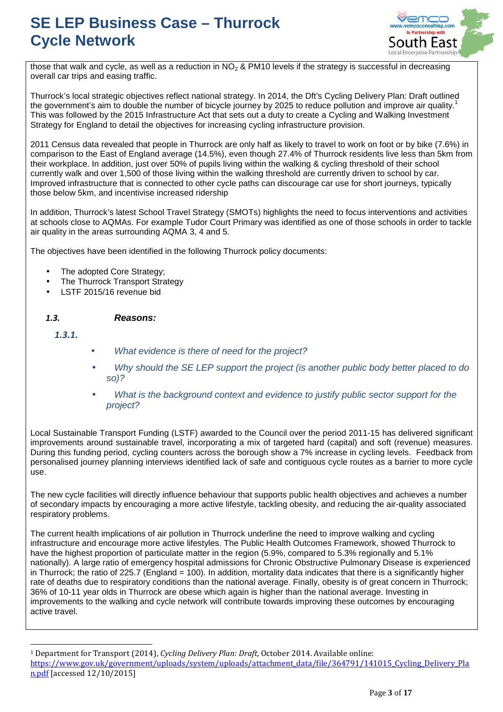

those that walk and cycle, as well as a reduction in  $NO<sub>2</sub>$  & PM10 levels if the strategy is successful in decreasing overall car trips and easing traffic.

Thurrock's local strategic objectives reflect national strategy. In 2014, the Dft's Cycling Delivery Plan: Draft outlined the government's aim to double the number of bicycle journey by 2025 to reduce pollution and improve air quality.<sup>1</sup> This was followed by the 2015 Infrastructure Act that sets out a duty to create a Cycling and Walking Investment Strategy for England to detail the objectives for increasing cycling infrastructure provision.

2011 Census data revealed that people in Thurrock are only half as likely to travel to work on foot or by bike (7.6%) in comparison to the East of England average (14.5%), even though 27.4% of Thurrock residents live less than 5km from their workplace. In addition, just over 50% of pupils living within the walking & cycling threshold of their school currently walk and over 1,500 of those living within the walking threshold are currently driven to school by car. Improved infrastructure that is connected to other cycle paths can discourage car use for short journeys, typically those below 5km, and incentivise increased ridership

In addition, Thurrock's latest School Travel Strategy (SMOTs) highlights the need to focus interventions and activities at schools close to AQMAs. For example Tudor Court Primary was identified as one of those schools in order to tackle air quality in the areas surrounding AQMA 3, 4 and 5.

The objectives have been identified in the following Thurrock policy documents:

- The adopted Core Strategy;
- The Thurrock Transport Strategy
- LSTF 2015/16 revenue bid

#### *1.3.* **Reasons:**

#### *1.3.1.*

 $\overline{a}$ 

- What evidence is there of need for the project?
- Why should the SE LEP support the project (is another public body better placed to do so)?
- What is the background context and evidence to justify public sector support for the project?

Local Sustainable Transport Funding (LSTF) awarded to the Council over the period 2011-15 has delivered significant improvements around sustainable travel, incorporating a mix of targeted hard (capital) and soft (revenue) measures. During this funding period, cycling counters across the borough show a 7% increase in cycling levels. Feedback from personalised journey planning interviews identified lack of safe and contiguous cycle routes as a barrier to more cycle use.

The new cycle facilities will directly influence behaviour that supports public health objectives and achieves a number of secondary impacts by encouraging a more active lifestyle, tackling obesity, and reducing the air-quality associated respiratory problems.

The current health implications of air pollution in Thurrock underline the need to improve walking and cycling infrastructure and encourage more active lifestyles. The Public Health Outcomes Framework, showed Thurrock to have the highest proportion of particulate matter in the region (5.9%, compared to 5.3% regionally and 5.1% nationally). A large ratio of emergency hospital admissions for Chronic Obstructive Pulmonary Disease is experienced in Thurrock; the ratio of 225.7 (England  $= 100$ ). In addition, mortality data indicates that there is a significantly higher rate of deaths due to respiratory conditions than the national average. Finally, obesity is of great concern in Thurrock; 36% of 10-11 year olds in Thurrock are obese which again is higher than the national average. Investing in improvements to the walking and cycle network will contribute towards improving these outcomes by encouraging active travel.

<sup>1</sup> Department for Transport (2014), *Cycling Delivery Plan: Draft*, October 2014. Available online: https://www.gov.uk/government/uploads/system/uploads/attachment\_data/file/364791/141015\_Cycling\_Delivery\_Pla n.pdf [accessed 12/10/2015]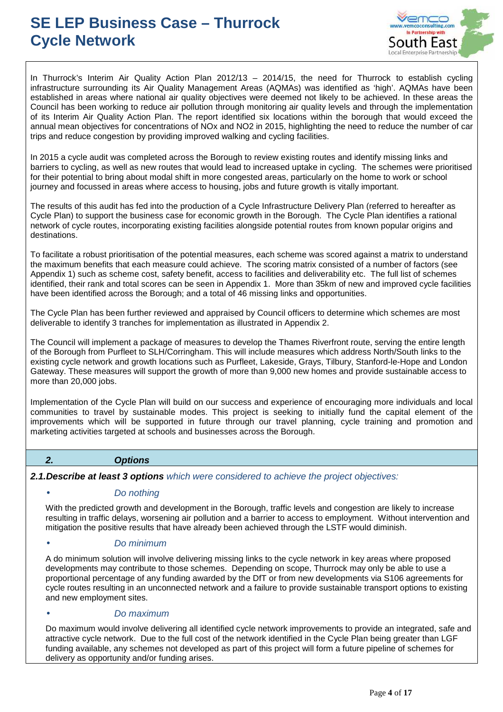

In Thurrock's Interim Air Quality Action Plan 2012/13 – 2014/15, the need for Thurrock to establish cycling infrastructure surrounding its Air Quality Management Areas (AQMAs) was identified as 'high'. AQMAs have been established in areas where national air quality objectives were deemed not likely to be achieved. In these areas the Council has been working to reduce air pollution through monitoring air quality levels and through the implementation of its Interim Air Quality Action Plan. The report identified six locations within the borough that would exceed the annual mean objectives for concentrations of NOx and NO2 in 2015, highlighting the need to reduce the number of car trips and reduce congestion by providing improved walking and cycling facilities.

In 2015 a cycle audit was completed across the Borough to review existing routes and identify missing links and barriers to cycling, as well as new routes that would lead to increased uptake in cycling. The schemes were prioritised for their potential to bring about modal shift in more congested areas, particularly on the home to work or school journey and focussed in areas where access to housing, jobs and future growth is vitally important.

The results of this audit has fed into the production of a Cycle Infrastructure Delivery Plan (referred to hereafter as Cycle Plan) to support the business case for economic growth in the Borough. The Cycle Plan identifies a rational network of cycle routes, incorporating existing facilities alongside potential routes from known popular origins and destinations.

To facilitate a robust prioritisation of the potential measures, each scheme was scored against a matrix to understand the maximum benefits that each measure could achieve. The scoring matrix consisted of a number of factors (see Appendix 1) such as scheme cost, safety benefit, access to facilities and deliverability etc. The full list of schemes identified, their rank and total scores can be seen in Appendix 1. More than 35km of new and improved cycle facilities have been identified across the Borough; and a total of 46 missing links and opportunities.

The Cycle Plan has been further reviewed and appraised by Council officers to determine which schemes are most deliverable to identify 3 tranches for implementation as illustrated in Appendix 2.

The Council will implement a package of measures to develop the Thames Riverfront route, serving the entire length of the Borough from Purfleet to SLH/Corringham. This will include measures which address North/South links to the existing cycle network and growth locations such as Purfleet, Lakeside, Grays, Tilbury, Stanford-le-Hope and London Gateway. These measures will support the growth of more than 9,000 new homes and provide sustainable access to more than 20,000 jobs.

Implementation of the Cycle Plan will build on our success and experience of encouraging more individuals and local communities to travel by sustainable modes. This project is seeking to initially fund the capital element of the improvements which will be supported in future through our travel planning, cycle training and promotion and marketing activities targeted at schools and businesses across the Borough.

#### **2. Options**

**2.1.Describe at least 3 options** which were considered to achieve the project objectives:

#### Do nothing

With the predicted growth and development in the Borough, traffic levels and congestion are likely to increase resulting in traffic delays, worsening air pollution and a barrier to access to employment. Without intervention and mitigation the positive results that have already been achieved through the LSTF would diminish.

#### • Do minimum

A do minimum solution will involve delivering missing links to the cycle network in key areas where proposed developments may contribute to those schemes. Depending on scope, Thurrock may only be able to use a proportional percentage of any funding awarded by the DfT or from new developments via S106 agreements for cycle routes resulting in an unconnected network and a failure to provide sustainable transport options to existing and new employment sites.

#### • Do maximum

Do maximum would involve delivering all identified cycle network improvements to provide an integrated, safe and attractive cycle network. Due to the full cost of the network identified in the Cycle Plan being greater than LGF funding available, any schemes not developed as part of this project will form a future pipeline of schemes for delivery as opportunity and/or funding arises.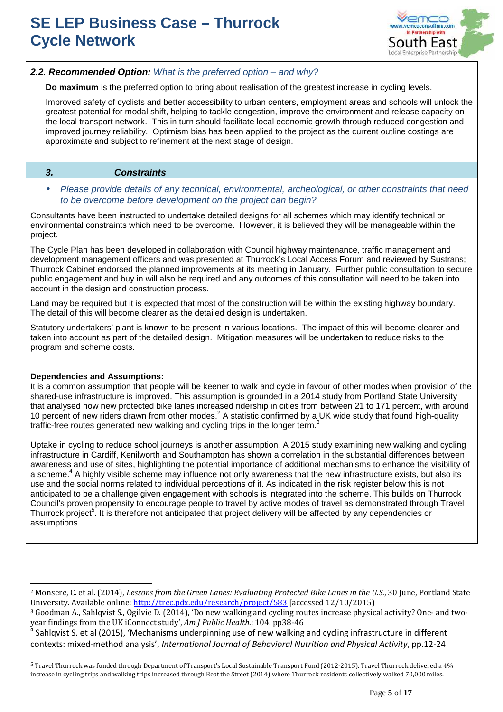

#### **2.2. Recommended Option:** What is the preferred option – and why?

**Do maximum** is the preferred option to bring about realisation of the greatest increase in cycling levels.

Improved safety of cyclists and better accessibility to urban centers, employment areas and schools will unlock the greatest potential for modal shift, helping to tackle congestion, improve the environment and release capacity on the local transport network. This in turn should facilitate local economic growth through reduced congestion and improved journey reliability. Optimism bias has been applied to the project as the current outline costings are approximate and subject to refinement at the next stage of design.

#### **3. Constraints**

#### • Please provide details of any technical, environmental, archeological, or other constraints that need to be overcome before development on the project can begin?

Consultants have been instructed to undertake detailed designs for all schemes which may identify technical or environmental constraints which need to be overcome. However, it is believed they will be manageable within the project.

The Cycle Plan has been developed in collaboration with Council highway maintenance, traffic management and development management officers and was presented at Thurrock's Local Access Forum and reviewed by Sustrans; Thurrock Cabinet endorsed the planned improvements at its meeting in January. Further public consultation to secure public engagement and buy in will also be required and any outcomes of this consultation will need to be taken into account in the design and construction process.

Land may be required but it is expected that most of the construction will be within the existing highway boundary. The detail of this will become clearer as the detailed design is undertaken.

Statutory undertakers' plant is known to be present in various locations. The impact of this will become clearer and taken into account as part of the detailed design. Mitigation measures will be undertaken to reduce risks to the program and scheme costs.

#### **Dependencies and Assumptions:**

 $\overline{a}$ 

It is a common assumption that people will be keener to walk and cycle in favour of other modes when provision of the shared-use infrastructure is improved. This assumption is grounded in a 2014 study from Portland State University that analysed how new protected bike lanes increased ridership in cities from between 21 to 171 percent, with around 10 percent of new riders drawn from other modes.<sup>2</sup> A statistic confirmed by a UK wide study that found high-quality traffic-free routes generated new walking and cycling trips in the longer term.<sup>3</sup>

Uptake in cycling to reduce school journeys is another assumption. A 2015 study examining new walking and cycling infrastructure in Cardiff, Kenilworth and Southampton has shown a correlation in the substantial differences between awareness and use of sites, highlighting the potential importance of additional mechanisms to enhance the visibility of a scheme.<sup>4</sup> A highly visible scheme may influence not only awareness that the new infrastructure exists, but also its use and the social norms related to individual perceptions of it. As indicated in the risk register below this is not anticipated to be a challenge given engagement with schools is integrated into the scheme. This builds on Thurrock Council's proven propensity to encourage people to travel by active modes of travel as demonstrated through Travel Thurrock project<sup>5</sup>. It is therefore not anticipated that project delivery will be affected by any dependencies or assumptions.

<sup>&</sup>lt;sup>2</sup> Monsere, C. et al. (2014), *Lessons from the Green Lanes: Evaluating Protected Bike Lanes in the U.S.*, 30 June, Portland State University. Available online: http://trec.pdx.edu/research/project/583 [accessed 12/10/2015)

<sup>3</sup> Goodman A., Sahlqvist S., Ogilvie D. (2014), 'Do new walking and cycling routes increase physical activity? One- and twoyear findings from the UK iConnect study', *Am J Public Health*.; 104. pp38-46 4

Sahlqvist S. et al (2015), 'Mechanisms underpinning use of new walking and cycling infrastructure in different contexts: mixed-method analysis', *International Journal of Behavioral Nutrition and Physical Activity*, pp.12-24

<sup>5</sup> Travel Thurrock was funded through Department of Transport's Local Sustainable Transport Fund (2012-2015). Travel Thurrock delivered a 4% increase in cycling trips and walking trips increased through Beat the Street (2014) where Thurrock residents collectively walked 70,000 miles.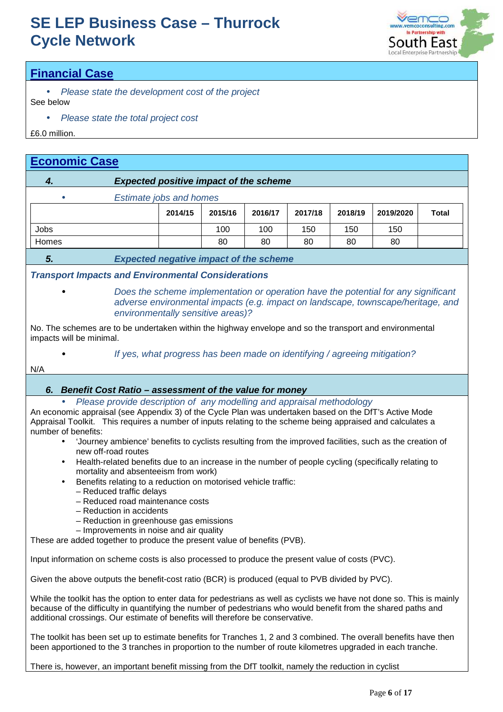

### **Financial Case**

- Please state the development cost of the project See below
	- Please state the total project cost

£6.0 million.

### **Economic Case**

### **4. Expected positive impact of the scheme**

• Estimate jobs and homes

|       | 2014/15 | 2015/16 | 2016/17 | 2017/18 | 2018/19 | 2019/2020 | <b>Total</b> |
|-------|---------|---------|---------|---------|---------|-----------|--------------|
| Jobs  |         | 100     | 100     | 150     | 150     | 150       |              |
| Homes |         | 80      | 80      | 80      | 80      | 80        |              |

**5. Expected negative impact of the scheme**

### **Transport Impacts and Environmental Considerations**

• Does the scheme implementation or operation have the potential for any significant adverse environmental impacts (e.g. impact on landscape, townscape/heritage, and environmentally sensitive areas)?

No. The schemes are to be undertaken within the highway envelope and so the transport and environmental impacts will be minimal.

• If yes, what progress has been made on identifying / agreeing mitigation?

#### N/A

### **6. Benefit Cost Ratio – assessment of the value for money**

• Please provide description of any modelling and appraisal methodology

An economic appraisal (see Appendix 3) of the Cycle Plan was undertaken based on the DfT's Active Mode Appraisal Toolkit. This requires a number of inputs relating to the scheme being appraised and calculates a number of benefits:

- 'Journey ambience' benefits to cyclists resulting from the improved facilities, such as the creation of new off-road routes
- Health-related benefits due to an increase in the number of people cycling (specifically relating to mortality and absenteeism from work)
- Benefits relating to a reduction on motorised vehicle traffic:
	- Reduced traffic delays
	- Reduced road maintenance costs
	- Reduction in accidents
	- Reduction in greenhouse gas emissions
- Improvements in noise and air quality

These are added together to produce the present value of benefits (PVB).

Input information on scheme costs is also processed to produce the present value of costs (PVC).

Given the above outputs the benefit-cost ratio (BCR) is produced (equal to PVB divided by PVC).

While the toolkit has the option to enter data for pedestrians as well as cyclists we have not done so. This is mainly because of the difficulty in quantifying the number of pedestrians who would benefit from the shared paths and additional crossings. Our estimate of benefits will therefore be conservative.

The toolkit has been set up to estimate benefits for Tranches 1, 2 and 3 combined. The overall benefits have then been apportioned to the 3 tranches in proportion to the number of route kilometres upgraded in each tranche.

There is, however, an important benefit missing from the DfT toolkit, namely the reduction in cyclist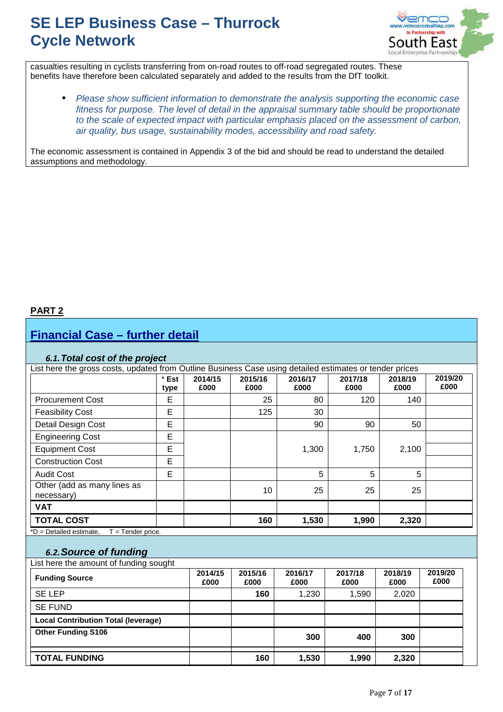

casualties resulting in cyclists transferring from on-road routes to off-road segregated routes. These benefits have therefore been calculated separately and added to the results from the DfT toolkit.

• Please show sufficient information to demonstrate the analysis supporting the economic case fitness for purpose. The level of detail in the appraisal summary table should be proportionate to the scale of expected impact with particular emphasis placed on the assessment of carbon, air quality, bus usage, sustainability modes, accessibility and road safety.

The economic assessment is contained in Appendix 3 of the bid and should be read to understand the detailed assumptions and methodology.

#### **PART 2**

### **Financial Case – further detail**

#### *6.1.* **Total cost of the project**

| * Est<br>type | 2014/15<br>£000 | 2015/16<br>£000 | 2016/17<br>£000 | 2017/18<br>£000 | 2018/19<br>£000 | 2019/20<br>£000                                                                                         |
|---------------|-----------------|-----------------|-----------------|-----------------|-----------------|---------------------------------------------------------------------------------------------------------|
| E             |                 | 25              | 80              | 120             | 140             |                                                                                                         |
| E             |                 | 125             | 30              |                 |                 |                                                                                                         |
| E             |                 |                 | 90              | 90              | 50              |                                                                                                         |
| E             |                 |                 |                 |                 |                 |                                                                                                         |
| E             |                 |                 | 1,300           | 1,750           | 2,100           |                                                                                                         |
| E             |                 |                 |                 |                 |                 |                                                                                                         |
| E             |                 |                 | 5               | 5               | 5               |                                                                                                         |
|               |                 | 10              | 25              | 25              | 25              |                                                                                                         |
|               |                 |                 |                 |                 |                 |                                                                                                         |
|               |                 | 160             | 1,530           | 1,990           | 2,320           |                                                                                                         |
|               |                 |                 |                 |                 |                 | List here the gross costs, updated from Outline Business Case using detailed estimates or tender prices |

### *6.2.***Source of funding**

List here the amount of funding sought

| <b>Funding Source</b>                      | 2014/15<br>£000 | 2015/16<br>£000 | 2016/17<br>£000 | 2017/18<br>£000 | 2018/19<br>£000 | 2019/20<br>£000 |
|--------------------------------------------|-----------------|-----------------|-----------------|-----------------|-----------------|-----------------|
| <b>SE LEP</b>                              |                 | 160             | 1,230           | 1,590           | 2,020           |                 |
| <b>SE FUND</b>                             |                 |                 |                 |                 |                 |                 |
| <b>Local Contribution Total (leverage)</b> |                 |                 |                 |                 |                 |                 |
| <b>Other Funding S106</b>                  |                 |                 | 300             | 400             | 300             |                 |
| <b>TOTAL FUNDING</b>                       |                 | 160             | 1,530           | 1.990           | 2,320           |                 |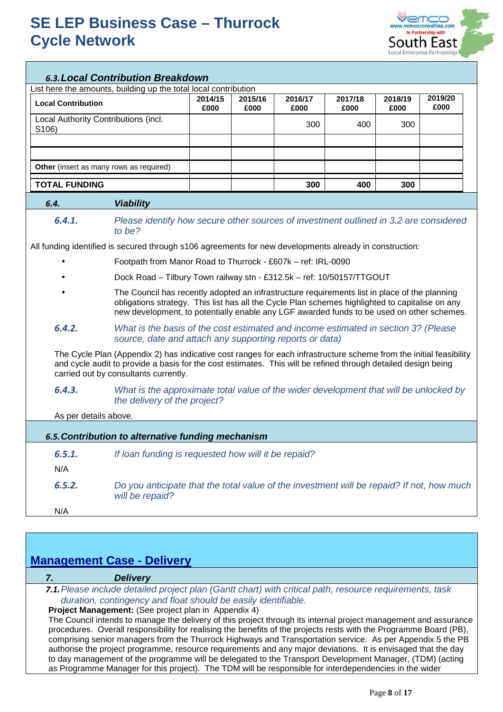

#### *6.3.***Local Contribution Breakdown**

List here the amounts, building up the total local contribution

| <b>Local Contribution</b>                      | 2014/15<br>£000 | 2015/16<br>£000 | 2016/17<br>£000 | 2017/18<br>£000 | 2018/19<br>£000 | 2019/20<br>£000 |
|------------------------------------------------|-----------------|-----------------|-----------------|-----------------|-----------------|-----------------|
| Local Authority Contributions (incl.<br>S106)  |                 |                 | 300             | 400             | 300             |                 |
|                                                |                 |                 |                 |                 |                 |                 |
|                                                |                 |                 |                 |                 |                 |                 |
| <b>Other</b> (insert as many rows as required) |                 |                 |                 |                 |                 |                 |
| <b>TOTAL FUNDING</b>                           |                 |                 | 300             | 400             | 300             |                 |

#### *6.4.* **Viability**

*6.4.1.* Please identify how secure other sources of investment outlined in 3.2 are considered to be?

All funding identified is secured through s106 agreements for new developments already in construction:

- Footpath from Manor Road to Thurrock £607k ref: IRL-0090
- Dock Road Tilbury Town railway stn £312.5k ref: 10/50157/TTGOUT
- The Council has recently adopted an infrastructure requirements list in place of the planning obligations strategy. This list has all the Cycle Plan schemes highlighted to capitalise on any new development, to potentially enable any LGF awarded funds to be used on other schemes.
- *6.4.2.* What is the basis of the cost estimated and income estimated in section 3? (Please source, date and attach any supporting reports or data)

The Cycle Plan (Appendix 2) has indicative cost ranges for each infrastructure scheme from the initial feasibility and cycle audit to provide a basis for the cost estimates. This will be refined through detailed design being carried out by consultants currently.

*6.4.3.* What is the approximate total value of the wider development that will be unlocked by the delivery of the project?

As per details above.

|        | 6.5. Contribution to alternative funding mechanism                                                           |  |  |  |  |  |  |
|--------|--------------------------------------------------------------------------------------------------------------|--|--|--|--|--|--|
| 6.5.1. | If loan funding is requested how will it be repaid?                                                          |  |  |  |  |  |  |
| N/A    |                                                                                                              |  |  |  |  |  |  |
| 6.5.2. | Do you anticipate that the total value of the investment will be repaid? If not, how much<br>will be repaid? |  |  |  |  |  |  |
| N/A    |                                                                                                              |  |  |  |  |  |  |

### **Management Case - Delivery**

#### **7. Delivery**

*7.1.*Please include detailed project plan (Gantt chart) with critical path, resource requirements, task duration, contingency and float should be easily identifiable.

**Project Management:** (See project plan in Appendix 4)

The Council intends to manage the delivery of this project through its internal project management and assurance procedures. Overall responsibility for realising the benefits of the projects rests with the Programme Board (PB), comprising senior managers from the Thurrock Highways and Transportation service. As per Appendix 5 the PB authorise the project programme, resource requirements and any major deviations. It is envisaged that the day to day management of the programme will be delegated to the Transport Development Manager, (TDM) (acting as Programme Manager for this project). The TDM will be responsible for interdependencies in the wider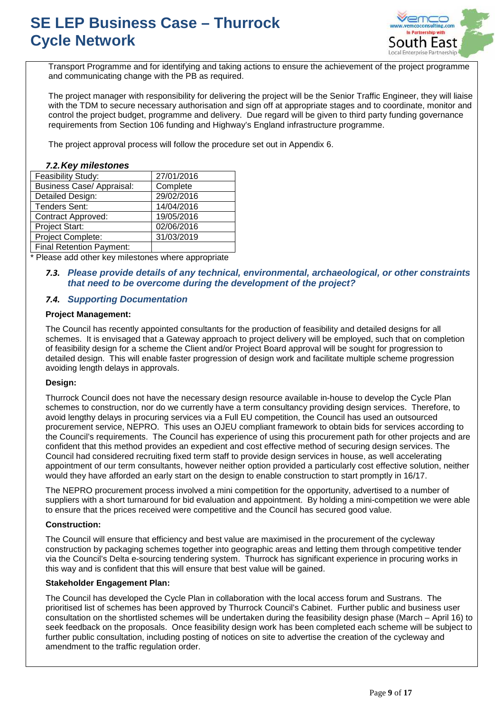

Transport Programme and for identifying and taking actions to ensure the achievement of the project programme and communicating change with the PB as required.

The project manager with responsibility for delivering the project will be the Senior Traffic Engineer, they will liaise with the TDM to secure necessary authorisation and sign off at appropriate stages and to coordinate, monitor and control the project budget, programme and delivery. Due regard will be given to third party funding governance requirements from Section 106 funding and Highway's England infrastructure programme.

The project approval process will follow the procedure set out in Appendix 6.

#### *7.2.* **Key milestones**

| Feasibility Study:               | 27/01/2016 |
|----------------------------------|------------|
| <b>Business Case/ Appraisal:</b> | Complete   |
| Detailed Design:                 | 29/02/2016 |
| <b>Tenders Sent:</b>             | 14/04/2016 |
| <b>Contract Approved:</b>        | 19/05/2016 |
| Project Start:                   | 02/06/2016 |
| Project Complete:                | 31/03/2019 |
| <b>Final Retention Payment:</b>  |            |

\* Please add other key milestones where appropriate

#### *7.3.* **Please provide details of any technical, environmental, archaeological, or other constraints that need to be overcome during the development of the project?**

#### *7.4.* **Supporting Documentation**

#### **Project Management:**

The Council has recently appointed consultants for the production of feasibility and detailed designs for all schemes. It is envisaged that a Gateway approach to project delivery will be employed, such that on completion of feasibility design for a scheme the Client and/or Project Board approval will be sought for progression to detailed design. This will enable faster progression of design work and facilitate multiple scheme progression avoiding length delays in approvals.

#### **Design:**

Thurrock Council does not have the necessary design resource available in-house to develop the Cycle Plan schemes to construction, nor do we currently have a term consultancy providing design services. Therefore, to avoid lengthy delays in procuring services via a Full EU competition, the Council has used an outsourced procurement service, NEPRO. This uses an OJEU compliant framework to obtain bids for services according to the Council's requirements. The Council has experience of using this procurement path for other projects and are confident that this method provides an expedient and cost effective method of securing design services. The Council had considered recruiting fixed term staff to provide design services in house, as well accelerating appointment of our term consultants, however neither option provided a particularly cost effective solution, neither would they have afforded an early start on the design to enable construction to start promptly in 16/17.

The NEPRO procurement process involved a mini competition for the opportunity, advertised to a number of suppliers with a short turnaround for bid evaluation and appointment. By holding a mini-competition we were able to ensure that the prices received were competitive and the Council has secured good value.

#### **Construction:**

The Council will ensure that efficiency and best value are maximised in the procurement of the cycleway construction by packaging schemes together into geographic areas and letting them through competitive tender via the Council's Delta e-sourcing tendering system. Thurrock has significant experience in procuring works in this way and is confident that this will ensure that best value will be gained.

#### **Stakeholder Engagement Plan:**

The Council has developed the Cycle Plan in collaboration with the local access forum and Sustrans. The prioritised list of schemes has been approved by Thurrock Council's Cabinet. Further public and business user consultation on the shortlisted schemes will be undertaken during the feasibility design phase (March – April 16) to seek feedback on the proposals. Once feasibility design work has been completed each scheme will be subject to further public consultation, including posting of notices on site to advertise the creation of the cycleway and amendment to the traffic regulation order.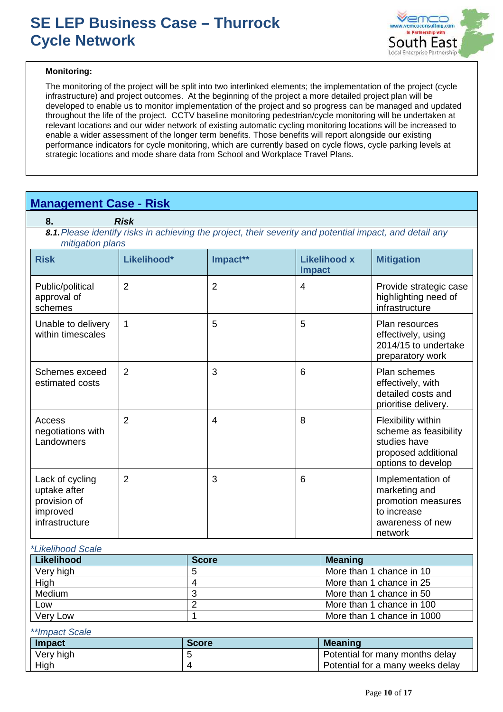

#### **Monitoring:**

The monitoring of the project will be split into two interlinked elements; the implementation of the project (cycle infrastructure) and project outcomes. At the beginning of the project a more detailed project plan will be developed to enable us to monitor implementation of the project and so progress can be managed and updated throughout the life of the project. CCTV baseline monitoring pedestrian/cycle monitoring will be undertaken at relevant locations and our wider network of existing automatic cycling monitoring locations will be increased to enable a wider assessment of the longer term benefits. Those benefits will report alongside our existing performance indicators for cycle monitoring, which are currently based on cycle flows, cycle parking levels at strategic locations and mode share data from School and Workplace Travel Plans.

### **Management Case - Risk**

**8. Risk** 8.1. Please identify risks in achieving the project, their severity and potential impact, and detail any mitigation plans

| <i><b>HIRGUNI PRIP</b></i>                                                    |                |                |                                      |                                                                                                          |
|-------------------------------------------------------------------------------|----------------|----------------|--------------------------------------|----------------------------------------------------------------------------------------------------------|
| <b>Risk</b>                                                                   | Likelihood*    | Impact**       | <b>Likelihood x</b><br><b>Impact</b> | <b>Mitigation</b>                                                                                        |
| Public/political<br>approval of<br>schemes                                    | 2              | $\overline{2}$ | 4                                    | Provide strategic case<br>highlighting need of<br>infrastructure                                         |
| Unable to delivery<br>within timescales                                       | 1              | 5              | 5                                    | <b>Plan resources</b><br>effectively, using<br>2014/15 to undertake<br>preparatory work                  |
| Schemes exceed<br>estimated costs                                             | 2              | 3              | 6                                    | Plan schemes<br>effectively, with<br>detailed costs and<br>prioritise delivery.                          |
| Access<br>negotiations with<br>Landowners                                     | $\overline{2}$ | $\overline{4}$ | 8                                    | Flexibility within<br>scheme as feasibility<br>studies have<br>proposed additional<br>options to develop |
| Lack of cycling<br>uptake after<br>provision of<br>improved<br>infrastructure | $\overline{2}$ | 3              | 6                                    | Implementation of<br>marketing and<br>promotion measures<br>to increase<br>awareness of new<br>network   |

#### \*Likelihood Scale

| Likelihood | <b>Score</b> | <b>Meaning</b>             |
|------------|--------------|----------------------------|
| Very high  |              | More than 1 chance in 10   |
| High       |              | More than 1 chance in 25   |
| Medium     |              | More than 1 chance in 50   |
| Low        |              | More than 1 chance in 100  |
| Very Low   |              | More than 1 chance in 1000 |

#### \*\*Impact Scale

| Impact    | <b>Score</b> | <b>Meaning</b>                   |
|-----------|--------------|----------------------------------|
| Very high |              | Potential for many months delay  |
| High      |              | Potential for a many weeks delay |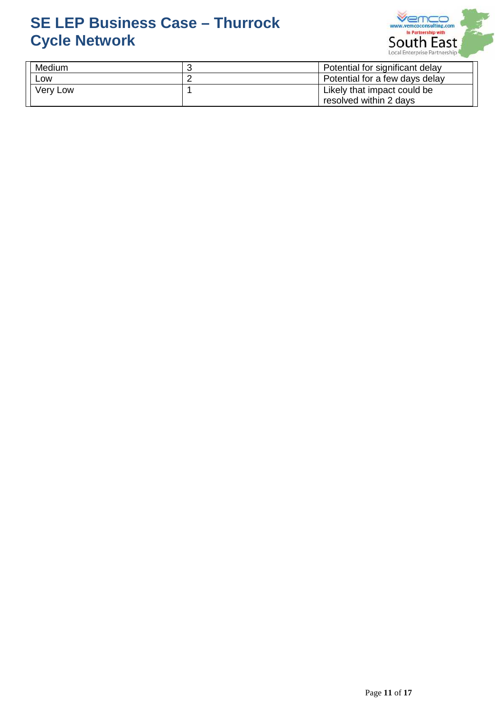

| Medium   | Potential for significant delay |
|----------|---------------------------------|
| LOW      | Potential for a few days delay  |
| Very Low | Likely that impact could be     |
|          | resolved within 2 days          |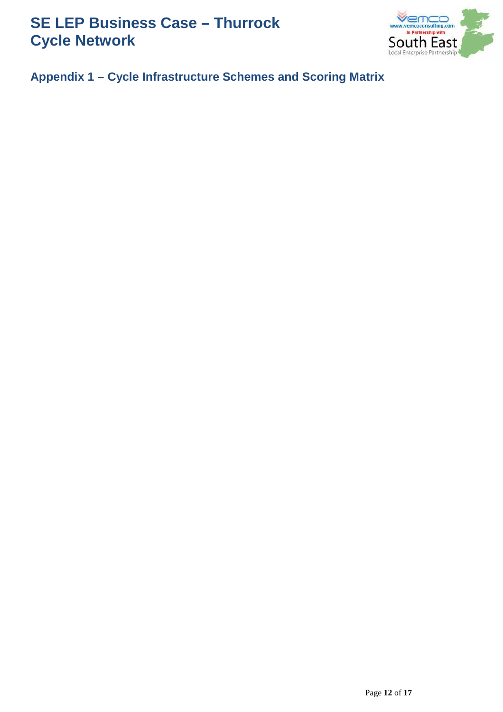

**Appendix 1 – Cycle Infrastructure Schemes and Scoring Matrix**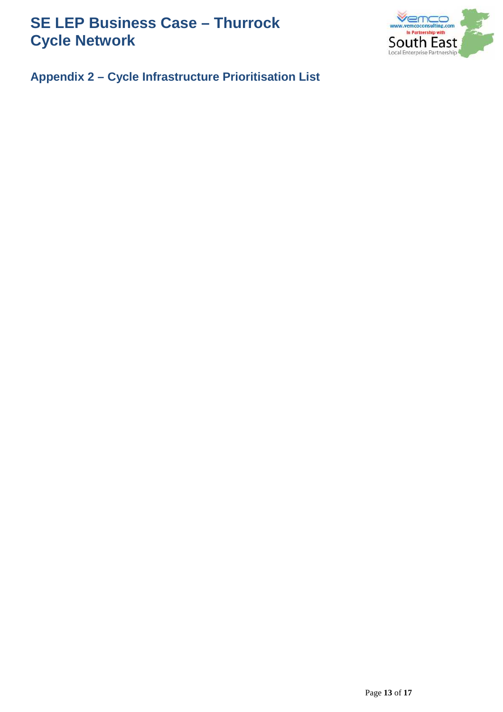

**Appendix 2 – Cycle Infrastructure Prioritisation List**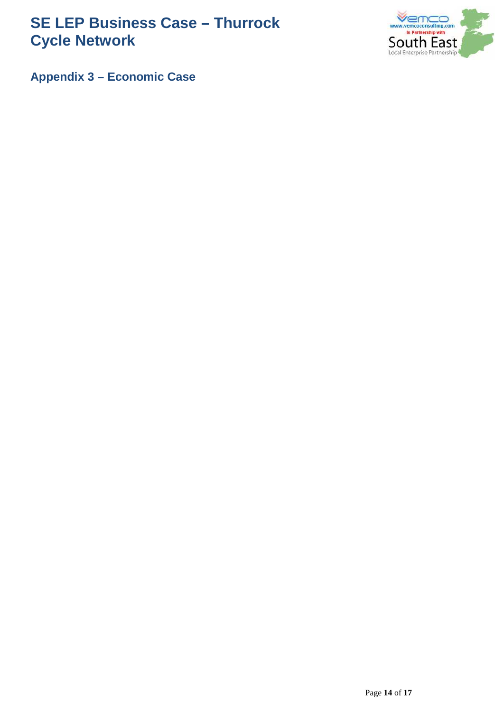

**Appendix 3 – Economic Case**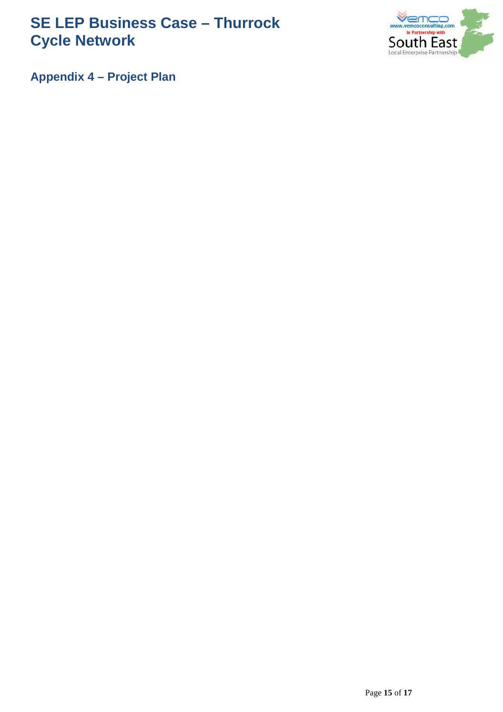

**Appendix 4 – Project Plan**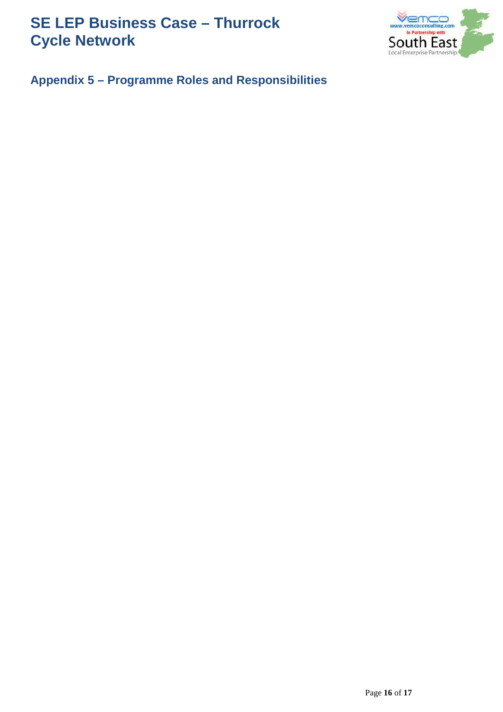

### **Appendix 5 – Programme Roles and Responsibilities**